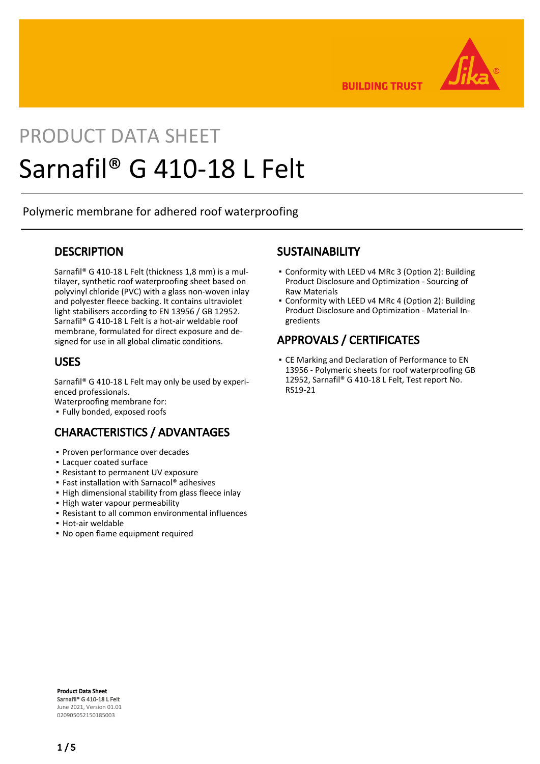

**BUILDING TRUST** 

# PRODUCT DATA SHEET Sarnafil® G 410-18 L Felt

Polymeric membrane for adhered roof waterproofing

## **DESCRIPTION**

Sarnafil® G 410-18 L Felt (thickness 1,8 mm) is a multilayer, synthetic roof waterproofing sheet based on polyvinyl chloride (PVC) with a glass non-woven inlay and polyester fleece backing. It contains ultraviolet light stabilisers according to EN 13956 / GB 12952. Sarnafil® G 410-18 L Felt is a hot-air weldable roof membrane, formulated for direct exposure and designed for use in all global climatic conditions.

## USES

Sarnafil® G 410-18 L Felt may only be used by experienced professionals.

Waterproofing membrane for:

▪ Fully bonded, exposed roofs

# CHARACTERISTICS / ADVANTAGES

- Proven performance over decades
- Lacquer coated surface
- Resistant to permanent UV exposure
- Fast installation with Sarnacol® adhesives
- **.** High dimensional stability from glass fleece inlay
- High water vapour permeability
- Resistant to all common environmental influences
- Hot-air weldable
- No open flame equipment required

## **SUSTAINABILITY**

- Conformity with LEED v4 MRc 3 (Option 2): Building Product Disclosure and Optimization - Sourcing of Raw Materials
- Conformity with LEED v4 MRc 4 (Option 2): Building Product Disclosure and Optimization - Material Ingredients

# APPROVALS / CERTIFICATES

CE Marking and Declaration of Performance to EN ▪ 13956 - Polymeric sheets for roof waterproofing GB 12952, Sarnafil® G 410-18 L Felt, Test report No. RS19-21

Product Data Sheet Sarnafil® G 410-18 L Felt June 2021, Version 01.01 020905052150185003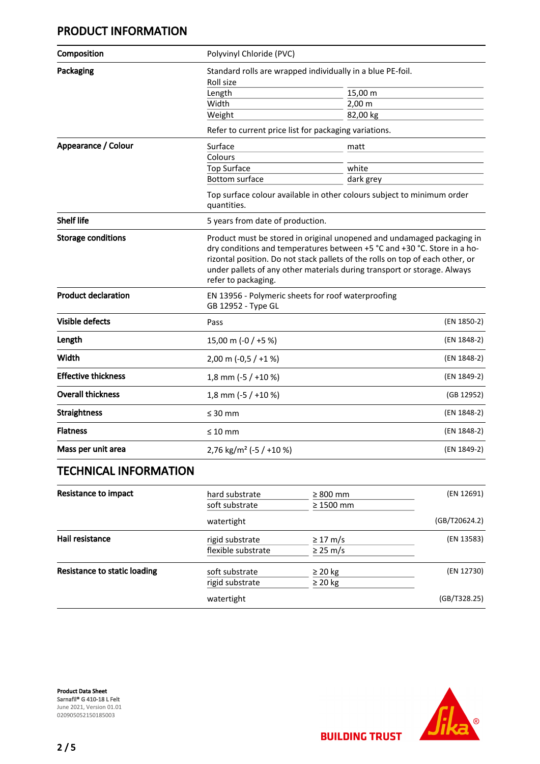# PRODUCT INFORMATION

| Composition                  | Polyvinyl Chloride (PVC)                                                              |                                                                                                                                                                                                                                                                                                                 |             |
|------------------------------|---------------------------------------------------------------------------------------|-----------------------------------------------------------------------------------------------------------------------------------------------------------------------------------------------------------------------------------------------------------------------------------------------------------------|-------------|
| Packaging                    | Standard rolls are wrapped individually in a blue PE-foil.<br>Roll size               |                                                                                                                                                                                                                                                                                                                 |             |
|                              | Length                                                                                | 15,00 m                                                                                                                                                                                                                                                                                                         |             |
|                              | Width                                                                                 | $2,00 \, \text{m}$                                                                                                                                                                                                                                                                                              |             |
|                              | Weight                                                                                | 82,00 kg                                                                                                                                                                                                                                                                                                        |             |
|                              |                                                                                       | Refer to current price list for packaging variations.                                                                                                                                                                                                                                                           |             |
| Appearance / Colour          | Surface                                                                               | matt                                                                                                                                                                                                                                                                                                            |             |
|                              | Colours                                                                               |                                                                                                                                                                                                                                                                                                                 |             |
|                              | <b>Top Surface</b>                                                                    | white                                                                                                                                                                                                                                                                                                           |             |
|                              | <b>Bottom surface</b>                                                                 | dark grey                                                                                                                                                                                                                                                                                                       |             |
|                              | Top surface colour available in other colours subject to minimum order<br>quantities. |                                                                                                                                                                                                                                                                                                                 |             |
| <b>Shelf life</b>            | 5 years from date of production.                                                      |                                                                                                                                                                                                                                                                                                                 |             |
| <b>Storage conditions</b>    | refer to packaging.                                                                   | Product must be stored in original unopened and undamaged packaging in<br>dry conditions and temperatures between +5 °C and +30 °C. Store in a ho-<br>rizontal position. Do not stack pallets of the rolls on top of each other, or<br>under pallets of any other materials during transport or storage. Always |             |
| <b>Product declaration</b>   | GB 12952 - Type GL                                                                    | EN 13956 - Polymeric sheets for roof waterproofing                                                                                                                                                                                                                                                              |             |
| <b>Visible defects</b>       | Pass                                                                                  |                                                                                                                                                                                                                                                                                                                 | (EN 1850-2) |
| Length                       | 15,00 m (-0 / +5 %)                                                                   |                                                                                                                                                                                                                                                                                                                 | (EN 1848-2) |
| Width                        | 2,00 m $(-0.5 / +1%)$                                                                 |                                                                                                                                                                                                                                                                                                                 | (EN 1848-2) |
| <b>Effective thickness</b>   | 1,8 mm ( $-5$ / $+10$ %)                                                              |                                                                                                                                                                                                                                                                                                                 | (EN 1849-2) |
| <b>Overall thickness</b>     | 1,8 mm ( $-5/+10$ %)                                                                  |                                                                                                                                                                                                                                                                                                                 | (GB 12952)  |
| <b>Straightness</b>          | $\leq 30$ mm                                                                          |                                                                                                                                                                                                                                                                                                                 | (EN 1848-2) |
| <b>Flatness</b>              | $\leq 10$ mm                                                                          |                                                                                                                                                                                                                                                                                                                 | (EN 1848-2) |
| Mass per unit area           | 2,76 kg/m <sup>2</sup> (-5 / +10 %)                                                   |                                                                                                                                                                                                                                                                                                                 | (EN 1849-2) |
| <b>TECHNICAL INFORMATION</b> |                                                                                       |                                                                                                                                                                                                                                                                                                                 |             |
| <b>Resistance to impact</b>  | hard substrate                                                                        | $\geq 800$ mm                                                                                                                                                                                                                                                                                                   | (EN 12691)  |
|                              | soft substrate                                                                        | $>1500$ mm                                                                                                                                                                                                                                                                                                      |             |

| <b>NESISTATIVE TO ITTIDALL</b> | nard substrate     | 2 800 mm       | IEIN TYDATI  |
|--------------------------------|--------------------|----------------|--------------|
|                                | soft substrate     | $\geq 1500$ mm |              |
|                                | watertight         |                |              |
| Hail resistance                | rigid substrate    | $\geq$ 17 m/s  | (EN 13583)   |
|                                | flexible substrate | $\geq$ 25 m/s  |              |
| Resistance to static loading   | soft substrate     | $\geq$ 20 kg   | (EN 12730)   |
|                                | rigid substrate    | $\geq$ 20 kg   |              |
|                                | watertight         |                | (GB/T328.25) |

Product Data Sheet Sarnafil® G 410-18 L Felt June 2021, Version 01.01 020905052150185003



**BUILDING TRUST**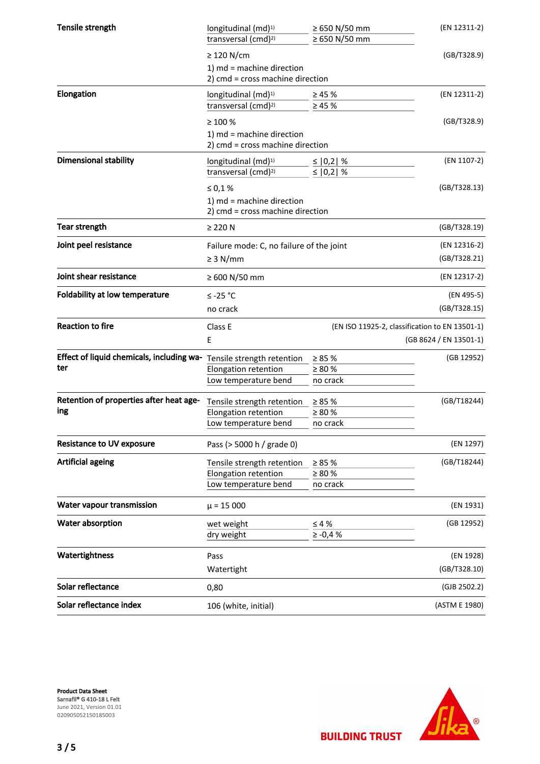| Tensile strength                          | longitudinal (md) <sup>1)</sup><br>transversal (cmd) <sup>2)</sup> | ≥ 650 N/50 mm<br>≥ 650 N/50 mm | (EN 12311-2)                                   |
|-------------------------------------------|--------------------------------------------------------------------|--------------------------------|------------------------------------------------|
|                                           | $\geq$ 120 N/cm                                                    |                                | (GB/T328.9)                                    |
|                                           | 1) md = machine direction                                          |                                |                                                |
|                                           | 2) cmd = cross machine direction                                   |                                |                                                |
| Elongation                                | longitudinal (md) <sup>1)</sup>                                    | $\geq 45 \%$                   | (EN 12311-2)                                   |
|                                           | transversal (cmd) <sup>2)</sup>                                    | $\geq 45 \%$                   |                                                |
|                                           | $\geq 100 \%$                                                      |                                | (GB/T328.9)                                    |
|                                           | 1) md = machine direction<br>2) cmd = cross machine direction      |                                |                                                |
| <b>Dimensional stability</b>              | longitudinal (md) <sup>1)</sup>                                    | $\leq$   0,2  %                | (EN 1107-2)                                    |
|                                           | transversal (cmd) <sup>2)</sup>                                    | ≤ $ 0,2 $ %                    |                                                |
|                                           | ≤ 0,1 %                                                            |                                | (GB/T328.13)                                   |
|                                           | 1) md = machine direction<br>2) cmd = cross machine direction      |                                |                                                |
| <b>Tear strength</b>                      | $\geq$ 220 N                                                       |                                | (GB/T328.19)                                   |
| Joint peel resistance                     | Failure mode: C, no failure of the joint                           |                                | (EN 12316-2)                                   |
|                                           | $\geq$ 3 N/mm                                                      |                                | (GB/T328.21)                                   |
| Joint shear resistance                    | ≥ 600 N/50 mm                                                      |                                | (EN 12317-2)                                   |
| <b>Foldability at low temperature</b>     | $≤ -25 °C$                                                         |                                | (EN 495-5)                                     |
|                                           | no crack                                                           |                                | (GB/T328.15)                                   |
| <b>Reaction to fire</b>                   |                                                                    |                                |                                                |
|                                           | Class E                                                            |                                | (EN ISO 11925-2, classification to EN 13501-1) |
|                                           | E                                                                  |                                | (GB 8624 / EN 13501-1)                         |
| Effect of liquid chemicals, including wa- |                                                                    |                                | (GB 12952)                                     |
| ter                                       | Tensile strength retention<br>Elongation retention                 | $\geq 85 \%$<br>$\geq 80 \%$   |                                                |
|                                           | Low temperature bend                                               | no crack                       |                                                |
| Retention of properties after heat age-   | Tensile strength retention                                         | $\geq 85 \%$                   | (GB/T18244)                                    |
| ing                                       | Elongation retention                                               | $\geq 80 \%$                   |                                                |
|                                           | Low temperature bend                                               | no crack                       |                                                |
| <b>Resistance to UV exposure</b>          | Pass (> 5000 h / grade 0)                                          |                                | (EN 1297)                                      |
| <b>Artificial ageing</b>                  | Tensile strength retention                                         | $\geq 85 \%$                   | (GB/T18244)                                    |
|                                           | Elongation retention                                               | $\geq 80 \%$                   |                                                |
|                                           | Low temperature bend                                               | no crack                       |                                                |
| Water vapour transmission                 | $\mu$ = 15 000                                                     |                                | (EN 1931)                                      |
| Water absorption                          | wet weight                                                         | $\leq 4\%$                     | (GB 12952)                                     |
|                                           | dry weight                                                         | $\geq$ -0,4 $\%$               |                                                |
| Watertightness                            | Pass                                                               |                                | (EN 1928)                                      |
|                                           | Watertight                                                         |                                | (GB/T328.10)                                   |
| Solar reflectance                         | 0,80                                                               |                                | (GJB 2502.2)                                   |
| Solar reflectance index                   | 106 (white, initial)                                               |                                | (ASTM E 1980)                                  |

Product Data Sheet Sarnafil® G 410-18 L Felt June 2021, Version 01.01 020905052150185003

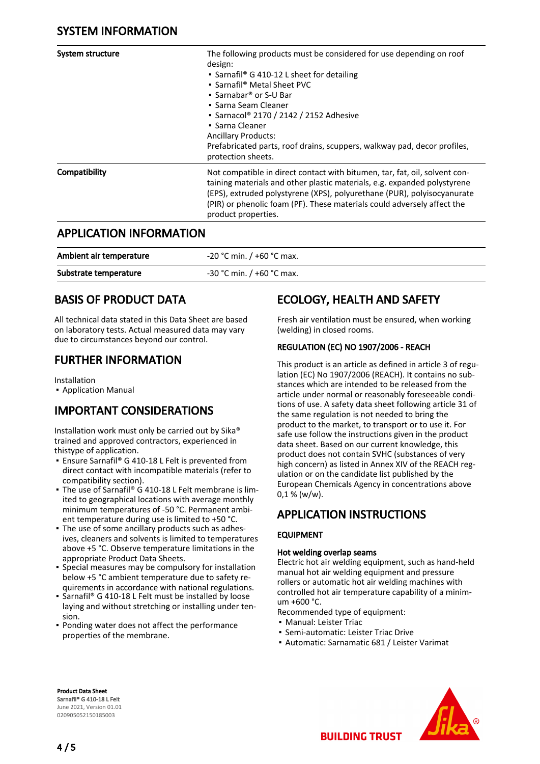| System structure | The following products must be considered for use depending on roof<br>design:<br>• Sarnafil <sup>®</sup> G 410-12 L sheet for detailing<br>• Sarnafil <sup>®</sup> Metal Sheet PVC<br>• Sarnabar <sup>®</sup> or S-U Bar<br>• Sarna Seam Cleaner<br>• Sarnacol® 2170 / 2142 / 2152 Adhesive<br>$\blacksquare$ Sarna Cleaner<br><b>Ancillary Products:</b><br>Prefabricated parts, roof drains, scuppers, walkway pad, decor profiles,<br>protection sheets. |
|------------------|--------------------------------------------------------------------------------------------------------------------------------------------------------------------------------------------------------------------------------------------------------------------------------------------------------------------------------------------------------------------------------------------------------------------------------------------------------------|
| Compatibility    | Not compatible in direct contact with bitumen, tar, fat, oil, solvent con-<br>taining materials and other plastic materials, e.g. expanded polystyrene<br>(EPS), extruded polystyrene (XPS), polyurethane (PUR), polyisocyanurate<br>(PIR) or phenolic foam (PF). These materials could adversely affect the<br>product properties.                                                                                                                          |

## APPLICATION INFORMATION

| Ambient air temperature | $-20$ °C min. / +60 °C max. |
|-------------------------|-----------------------------|
| Substrate temperature   | $-30$ °C min. / +60 °C max. |

# BASIS OF PRODUCT DATA

All technical data stated in this Data Sheet are based on laboratory tests. Actual measured data may vary due to circumstances beyond our control.

# FURTHER INFORMATION

Installation

▪ Application Manual

# IMPORTANT CONSIDERATIONS

Installation work must only be carried out by Sika® trained and approved contractors, experienced in thistype of application.

- Ensure Sarnafil® G 410-18 L Felt is prevented from direct contact with incompatible materials (refer to compatibility section).
- The use of Sarnafil® G 410-18 L Felt membrane is limited to geographical locations with average monthly minimum temperatures of -50 °C. Permanent ambient temperature during use is limited to +50 °C.
- The use of some ancillary products such as adhes-▪ ives, cleaners and solvents is limited to temperatures above +5 °C. Observe temperature limitations in the appropriate Product Data Sheets.
- **•** Special measures may be compulsory for installation below +5 °C ambient temperature due to safety requirements in accordance with national regulations.
- Sarnafil® G 410-18 L Felt must be installed by loose laying and without stretching or installing under tension.
- Ponding water does not affect the performance properties of the membrane.

# ECOLOGY, HEALTH AND SAFETY

Fresh air ventilation must be ensured, when working (welding) in closed rooms.

## REGULATION (EC) NO 1907/2006 - REACH

This product is an article as defined in article 3 of regulation (EC) No 1907/2006 (REACH). It contains no substances which are intended to be released from the article under normal or reasonably foreseeable conditions of use. A safety data sheet following article 31 of the same regulation is not needed to bring the product to the market, to transport or to use it. For safe use follow the instructions given in the product data sheet. Based on our current knowledge, this product does not contain SVHC (substances of very high concern) as listed in Annex XIV of the REACH regulation or on the candidate list published by the European Chemicals Agency in concentrations above  $0.1 %$  (w/w).

## APPLICATION INSTRUCTIONS

## EQUIPMENT

## Hot welding overlap seams

Electric hot air welding equipment, such as hand-held manual hot air welding equipment and pressure rollers or automatic hot air welding machines with controlled hot air temperature capability of a minimum +600 °C.

Recommended type of equipment:

- Manual: Leister Triac
- Semi-automatic: Leister Triac Drive
- Automatic: Sarnamatic 681 / Leister Varimat

Product Data Sheet Sarnafil® G 410-18 L Felt June 2021, Version 01.01 020905052150185003



4 / 5

**BUILDING TRUST**